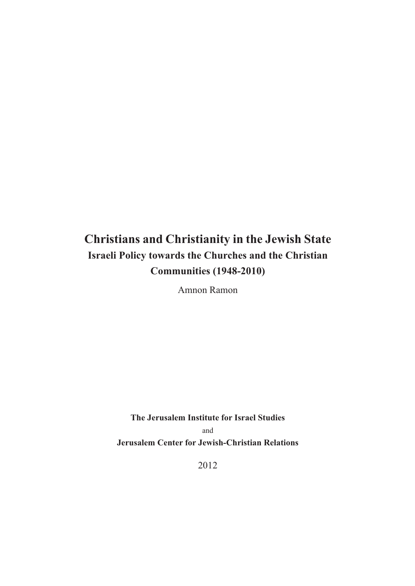# **Christians and Christianity in the Jewish State Israeli Policy towards the Churches and the Christian Communities (1948-2010)**

Amnon Ramon

**The Jerusalem Institute for Israel Studies** and **Jerusalem Center for Jewish-Christian Relations**

2012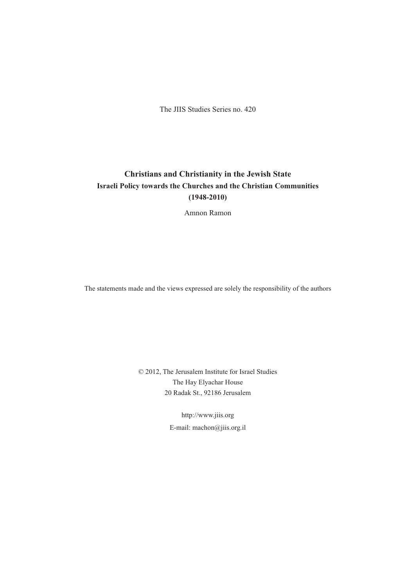The JIIS Studies Series no. 420

#### **Christians and Christianity in the Jewish State Israeli Policy towards the Churches and the Christian Communities (1948-2010)**

Amnon Ramon

The statements made and the views expressed are solely the responsibility of the authors

© 2012, The Jerusalem Institute for Israel Studies The Hay Elyachar House 20 Radak St., 92186 Jerusalem

> http://www.jiis.org E-mail: machon@jiis.org.il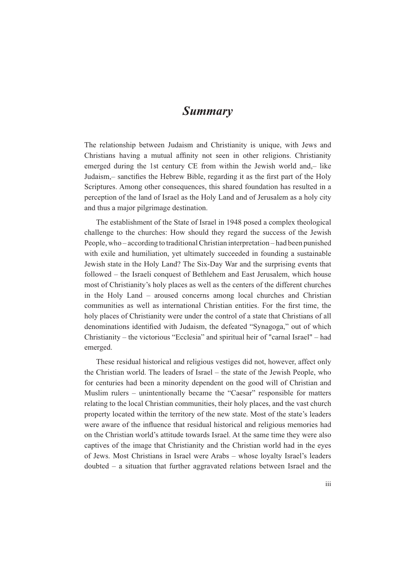### *Summary*

The relationship between Judaism and Christianity is unique, with Jews and Christians having a mutual affinity not seen in other religions. Christianity emerged during the 1st century CE from within the Jewish world and,– like Judaism, – sanctifies the Hebrew Bible, regarding it as the first part of the Holy Scriptures. Among other consequences, this shared foundation has resulted in a perception of the land of Israel as the Holy Land and of Jerusalem as a holy city and thus a major pilgrimage destination.

The establishment of the State of Israel in 1948 posed a complex theological challenge to the churches: How should they regard the success of the Jewish People, who – according to traditional Christian interpretation – had been punished with exile and humiliation, yet ultimately succeeded in founding a sustainable Jewish state in the Holy Land? The Six-Day War and the surprising events that followed – the Israeli conquest of Bethlehem and East Jerusalem, which house most of Christianity's holy places as well as the centers of the different churches in the Holy Land – aroused concerns among local churches and Christian communities as well as international Christian entities. For the first time, the holy places of Christianity were under the control of a state that Christians of all denominations identified with Judaism, the defeated "Synagoga," out of which Christianity – the victorious "Ecclesia" and spiritual heir of "carnal Israel" – had emerged.

These residual historical and religious vestiges did not, however, affect only the Christian world. The leaders of Israel – the state of the Jewish People, who for centuries had been a minority dependent on the good will of Christian and Muslim rulers – unintentionally became the "Caesar" responsible for matters relating to the local Christian communities, their holy places, and the vast church property located within the territory of the new state. Most of the state's leaders were aware of the influence that residual historical and religious memories had on the Christian world's attitude towards Israel. At the same time they were also captives of the image that Christianity and the Christian world had in the eyes of Jews. Most Christians in Israel were Arabs – whose loyalty Israel's leaders doubted – a situation that further aggravated relations between Israel and the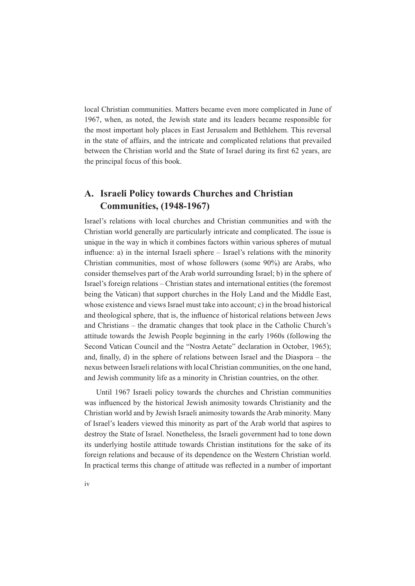local Christian communities. Matters became even more complicated in June of 1967, when, as noted, the Jewish state and its leaders became responsible for the most important holy places in East Jerusalem and Bethlehem. This reversal in the state of affairs, and the intricate and complicated relations that prevailed between the Christian world and the State of Israel during its first 62 years, are the principal focus of this book.

#### **A. Israeli Policy towards Churches and Christian Communities, (1948-1967)**

Israel's relations with local churches and Christian communities and with the Christian world generally are particularly intricate and complicated. The issue is unique in the way in which it combines factors within various spheres of mutual influence: a) in the internal Israeli sphere  $-$  Israel's relations with the minority Christian communities, most of whose followers (some 90%) are Arabs, who consider themselves part of the Arab world surrounding Israel; b) in the sphere of Israel's foreign relations – Christian states and international entities (the foremost being the Vatican) that support churches in the Holy Land and the Middle East, whose existence and views Israel must take into account; c) in the broad historical and theological sphere, that is, the influence of historical relations between Jews and Christians – the dramatic changes that took place in the Catholic Church's attitude towards the Jewish People beginning in the early 1960s (following the Second Vatican Council and the "Nostra Aetate" declaration in October, 1965); and, finally, d) in the sphere of relations between Israel and the Diaspora  $-$  the nexus between Israeli relations with local Christian communities, on the one hand, and Jewish community life as a minority in Christian countries, on the other.

Until 1967 Israeli policy towards the churches and Christian communities was influenced by the historical Jewish animosity towards Christianity and the Christian world and by Jewish Israeli animosity towards the Arab minority. Many of Israel's leaders viewed this minority as part of the Arab world that aspires to destroy the State of Israel. Nonetheless, the Israeli government had to tone down its underlying hostile attitude towards Christian institutions for the sake of its foreign relations and because of its dependence on the Western Christian world. In practical terms this change of attitude was reflected in a number of important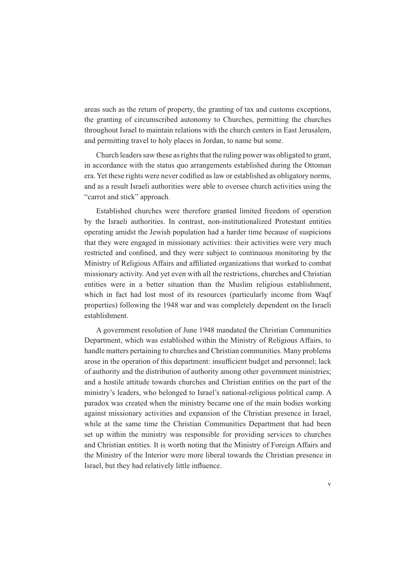areas such as the return of property, the granting of tax and customs exceptions, the granting of circumscribed autonomy to Churches, permitting the churches throughout Israel to maintain relations with the church centers in East Jerusalem, and permitting travel to holy places in Jordan, to name but some.

Church leaders saw these as rights that the ruling power was obligated to grant, in accordance with the status quo arrangements established during the Ottoman era. Yet these rights were never codified as law or established as obligatory norms, and as a result Israeli authorities were able to oversee church activities using the "carrot and stick" approach.

Established churches were therefore granted limited freedom of operation by the Israeli authorities. In contrast, non-institutionalized Protestant entities operating amidst the Jewish population had a harder time because of suspicions that they were engaged in missionary activities: their activities were very much restricted and confined, and they were subject to continuous monitoring by the Ministry of Religious Affairs and affiliated organizations that worked to combat missionary activity. And yet even with all the restrictions, churches and Christian entities were in a better situation than the Muslim religious establishment, which in fact had lost most of its resources (particularly income from Waqf properties) following the 1948 war and was completely dependent on the Israeli establishment.

A government resolution of June 1948 mandated the Christian Communities Department, which was established within the Ministry of Religious Affairs, to handle matters pertaining to churches and Christian communities. Many problems arose in the operation of this department: insufficient budget and personnel; lack of authority and the distribution of authority among other government ministries; and a hostile attitude towards churches and Christian entities on the part of the ministry's leaders, who belonged to Israel's national-religious political camp. A paradox was created when the ministry became one of the main bodies working against missionary activities and expansion of the Christian presence in Israel, while at the same time the Christian Communities Department that had been set up within the ministry was responsible for providing services to churches and Christian entities. It is worth noting that the Ministry of Foreign Affairs and the Ministry of the Interior were more liberal towards the Christian presence in Israel, but they had relatively little influence.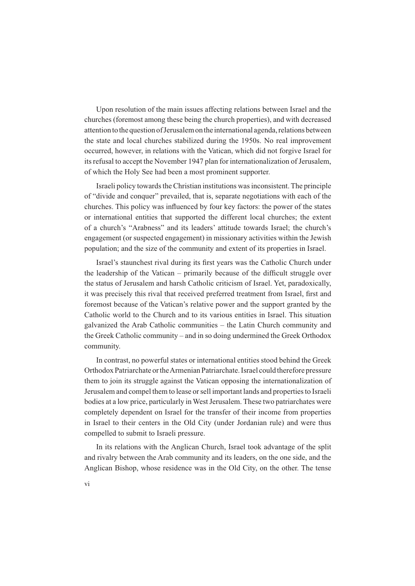Upon resolution of the main issues affecting relations between Israel and the churches (foremost among these being the church properties), and with decreased attention to the question of Jerusalem on the international agenda, relations between the state and local churches stabilized during the 1950s. No real improvement occurred, however, in relations with the Vatican, which did not forgive Israel for its refusal to accept the November 1947 plan for internationalization of Jerusalem, of which the Holy See had been a most prominent supporter.

Israeli policy towards the Christian institutions was inconsistent. The principle of "divide and conquer" prevailed, that is, separate negotiations with each of the chaustic Fully FIXUF Chainston and the states churches. This policy was influenced by four key factors: the power of the states or international entities that supported the different local churches; the extent of a church's "Arabness" and its leaders' attitude towards Israel; the church's engagement (or suspected engagement) in missionary activities within the Jewish population; and the size of the community and extent of its properties in Israel.

Israel's staunchest rival during its first years was the Catholic Church under the leadership of the Vatican – primarily because of the difficult struggle over the status of Jerusalem and harsh Catholic criticism of Israel. Yet, paradoxically, it was precisely this rival that received preferred treatment from Israel, first and foremost because of the Vatican's relative power and the support granted by the Catholic world to the Church and to its various entities in Israel. This situation galvanized the Arab Catholic communities – the Latin Church community and the Greek Catholic community – and in so doing undermined the Greek Orthodox community.

In contrast, no powerful states or international entities stood behind the Greek Orthodox Patriarchate or the Armenian Patriarchate. Israel could therefore pressure them to join its struggle against the Vatican opposing the internationalization of Jerusalem and compel them to lease or sell important lands and properties to Israeli bodies at a low price, particularly in West Jerusalem. These two patriarchates were completely dependent on Israel for the transfer of their income from properties in Israel to their centers in the Old City (under Jordanian rule) and were thus compelled to submit to Israeli pressure.

In its relations with the Anglican Church, Israel took advantage of the split and rivalry between the Arab community and its leaders, on the one side, and the Anglican Bishop, whose residence was in the Old City, on the other. The tense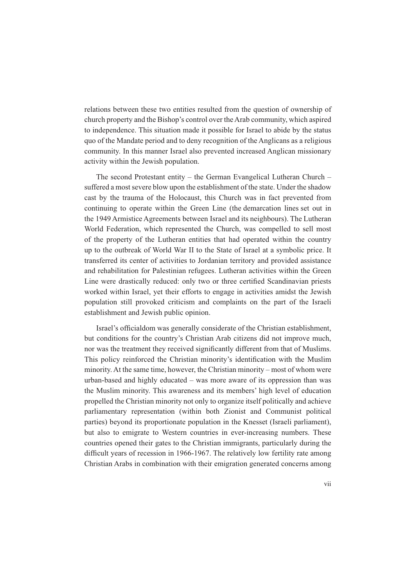relations between these two entities resulted from the question of ownership of church property and the Bishop's control over the Arab community, which aspired to independence. This situation made it possible for Israel to abide by the status quo of the Mandate period and to deny recognition of the Anglicans as a religious community. In this manner Israel also prevented increased Anglican missionary activity within the Jewish population.

The second Protestant entity – the German Evangelical Lutheran Church – suffered a most severe blow upon the establishment of the state. Under the shadow cast by the trauma of the Holocaust, this Church was in fact prevented from continuing to operate within the Green Line (the demarcation lines set out in the 1949 Armistice Agreements between Israel and its neighbours). The Lutheran World Federation, which represented the Church, was compelled to sell most of the property of the Lutheran entities that had operated within the country up to the outbreak of World War II to the State of Israel at a symbolic price. It transferred its center of activities to Jordanian territory and provided assistance and rehabilitation for Palestinian refugees. Lutheran activities within the Green Line were drastically reduced: only two or three certified Scandinavian priests worked within Israel, yet their efforts to engage in activities amidst the Jewish population still provoked criticism and complaints on the part of the Israeli establishment and Jewish public opinion.

Israel's officialdom was generally considerate of the Christian establishment. but conditions for the country's Christian Arab citizens did not improve much, nor was the treatment they received significantly different from that of Muslims. This policy reinforced the Christian minority's identification with the Muslim minority. At the same time, however, the Christian minority – most of whom were urban-based and highly educated – was more aware of its oppression than was the Muslim minority. This awareness and its members' high level of education propelled the Christian minority not only to organize itself politically and achieve parliamentary representation (within both Zionist and Communist political parties) beyond its proportionate population in the Knesset (Israeli parliament), but also to emigrate to Western countries in ever-increasing numbers. These countries opened their gates to the Christian immigrants, particularly during the difficult years of recession in 1966-1967. The relatively low fertility rate among Christian Arabs in combination with their emigration generated concerns among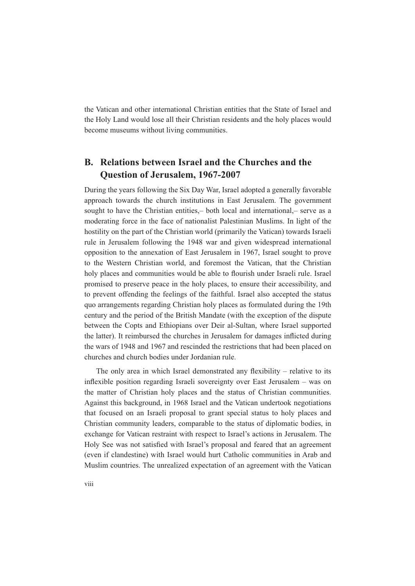the Vatican and other international Christian entities that the State of Israel and the Holy Land would lose all their Christian residents and the holy places would become museums without living communities.

#### **B. Relations between Israel and the Churches and the Question of Jerusalem, 1967-2007**

During the years following the Six Day War, Israel adopted a generally favorable approach towards the church institutions in East Jerusalem. The government sought to have the Christian entities,– both local and international,– serve as a moderating force in the face of nationalist Palestinian Muslims. In light of the hostility on the part of the Christian world (primarily the Vatican) towards Israeli rule in Jerusalem following the 1948 war and given widespread international opposition to the annexation of East Jerusalem in 1967, Israel sought to prove to the Western Christian world, and foremost the Vatican, that the Christian holy places and communities would be able to flourish under Israeli rule. Israel promised to preserve peace in the holy places, to ensure their accessibility, and to prevent offending the feelings of the faithful. Israel also accepted the status quo arrangements regarding Christian holy places as formulated during the 19th century and the period of the British Mandate (with the exception of the dispute between the Copts and Ethiopians over Deir al-Sultan, where Israel supported the latter). It reimbursed the churches in Jerusalem for damages inflicted during the wars of 1948 and 1967 and rescinded the restrictions that had been placed on churches and church bodies under Jordanian rule.

The only area in which Israel demonstrated any flexibility – relative to its inflexible position regarding Israeli sovereignty over East Jerusalem - was on the matter of Christian holy places and the status of Christian communities. Against this background, in 1968 Israel and the Vatican undertook negotiations that focused on an Israeli proposal to grant special status to holy places and Christian community leaders, comparable to the status of diplomatic bodies, in exchange for Vatican restraint with respect to Israel's actions in Jerusalem. The Holy See was not satisfied with Israel's proposal and feared that an agreement (even if clandestine) with Israel would hurt Catholic communities in Arab and Muslim countries. The unrealized expectation of an agreement with the Vatican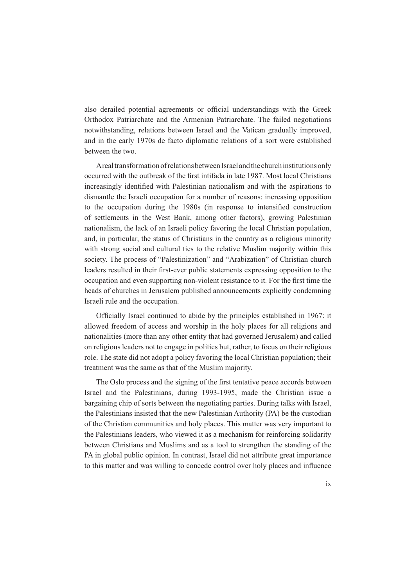also derailed potential agreements or official understandings with the Greek Orthodox Patriarchate and the Armenian Patriarchate. The failed negotiations notwithstanding, relations between Israel and the Vatican gradually improved, and in the early 1970s de facto diplomatic relations of a sort were established between the two.

A real transformation of relations between Israel and the church institutions only occurred with the outbreak of the first intifada in late 1987. Most local Christians increasingly identified with Palestinian nationalism and with the aspirations to dismantle the Israeli occupation for a number of reasons: increasing opposition to the occupation during the 1980s (in response to intensified construction of settlements in the West Bank, among other factors), growing Palestinian nationalism, the lack of an Israeli policy favoring the local Christian population, and, in particular, the status of Christians in the country as a religious minority with strong social and cultural ties to the relative Muslim majority within this society. The process of "Palestinization" and "Arabization" of Christian church leaders resulted in their first-ever public statements expressing opposition to the occupation and even supporting non-violent resistance to it. For the first time the heads of churches in Jerusalem published announcements explicitly condemning Israeli rule and the occupation.

Officially Israel continued to abide by the principles established in 1967: it allowed freedom of access and worship in the holy places for all religions and nationalities (more than any other entity that had governed Jerusalem) and called on religious leaders not to engage in politics but, rather, to focus on their religious role. The state did not adopt a policy favoring the local Christian population; their treatment was the same as that of the Muslim majority.

The Oslo process and the signing of the first tentative peace accords between Israel and the Palestinians, during 1993-1995, made the Christian issue a bargaining chip of sorts between the negotiating parties. During talks with Israel, the Palestinians insisted that the new Palestinian Authority (PA) be the custodian of the Christian communities and holy places. This matter was very important to the Palestinians leaders, who viewed it as a mechanism for reinforcing solidarity between Christians and Muslims and as a tool to strengthen the standing of the PA in global public opinion. In contrast, Israel did not attribute great importance to this matter and was willing to concede control over holy places and influence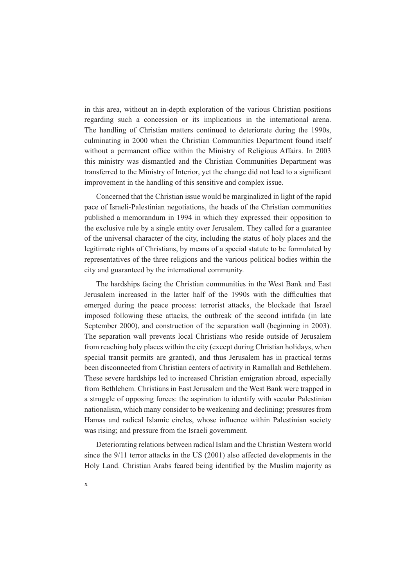in this area, without an in-depth exploration of the various Christian positions regarding such a concession or its implications in the international arena. The handling of Christian matters continued to deteriorate during the 1990s, culminating in 2000 when the Christian Communities Department found itself without a permanent office within the Ministry of Religious Affairs. In 2003 this ministry was dismantled and the Christian Communities Department was transferred to the Ministry of Interior, yet the change did not lead to a significant improvement in the handling of this sensitive and complex issue.

Concerned that the Christian issue would be marginalized in light of the rapid pace of Israeli-Palestinian negotiations, the heads of the Christian communities published a memorandum in 1994 in which they expressed their opposition to the exclusive rule by a single entity over Jerusalem. They called for a guarantee of the universal character of the city, including the status of holy places and the legitimate rights of Christians, by means of a special statute to be formulated by representatives of the three religions and the various political bodies within the city and guaranteed by the international community.

The hardships facing the Christian communities in the West Bank and East Jerusalem increased in the latter half of the 1990s with the difficulties that emerged during the peace process: terrorist attacks, the blockade that Israel imposed following these attacks, the outbreak of the second intifada (in late September 2000), and construction of the separation wall (beginning in 2003). The separation wall prevents local Christians who reside outside of Jerusalem from reaching holy places within the city (except during Christian holidays, when special transit permits are granted), and thus Jerusalem has in practical terms been disconnected from Christian centers of activity in Ramallah and Bethlehem. These severe hardships led to increased Christian emigration abroad, especially from Bethlehem. Christians in East Jerusalem and the West Bank were trapped in a struggle of opposing forces: the aspiration to identify with secular Palestinian nationalism, which many consider to be weakening and declining; pressures from Hamas and radical Islamic circles, whose influence within Palestinian society was rising; and pressure from the Israeli government.

Deteriorating relations between radical Islam and the Christian Western world since the 9/11 terror attacks in the US (2001) also affected developments in the Holy Land. Christian Arabs feared being identified by the Muslim majority as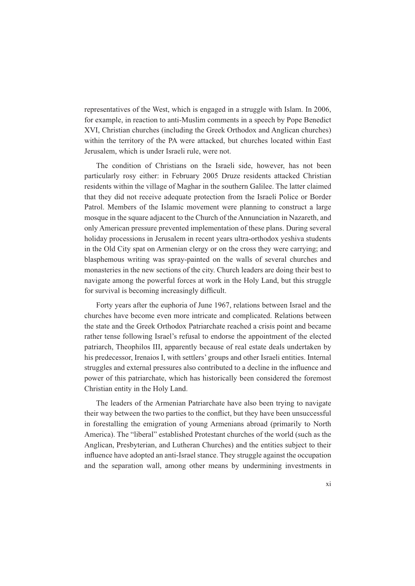representatives of the West, which is engaged in a struggle with Islam. In 2006, for example, in reaction to anti-Muslim comments in a speech by Pope Benedict XVI, Christian churches (including the Greek Orthodox and Anglican churches) within the territory of the PA were attacked, but churches located within East Jerusalem, which is under Israeli rule, were not.

The condition of Christians on the Israeli side, however, has not been particularly rosy either: in February 2005 Druze residents attacked Christian residents within the village of Maghar in the southern Galilee. The latter claimed that they did not receive adequate protection from the Israeli Police or Border Patrol. Members of the Islamic movement were planning to construct a large mosque in the square adjacent to the Church of the Annunciation in Nazareth, and only American pressure prevented implementation of these plans. During several holiday processions in Jerusalem in recent years ultra-orthodox yeshiva students in the Old City spat on Armenian clergy or on the cross they were carrying; and blasphemous writing was spray-painted on the walls of several churches and monasteries in the new sections of the city. Church leaders are doing their best to navigate among the powerful forces at work in the Holy Land, but this struggle for survival is becoming increasingly difficult.

Forty years after the euphoria of June 1967, relations between Israel and the churches have become even more intricate and complicated. Relations between the state and the Greek Orthodox Patriarchate reached a crisis point and became rather tense following Israel's refusal to endorse the appointment of the elected patriarch, Theophilos III, apparently because of real estate deals undertaken by his predecessor, Irenaios I, with settlers' groups and other Israeli entities. Internal struggles and external pressures also contributed to a decline in the influence and power of this patriarchate, which has historically been considered the foremost Christian entity in the Holy Land.

The leaders of the Armenian Patriarchate have also been trying to navigate their way between the two parties to the conflict, but they have been unsuccessful in forestalling the emigration of young Armenians abroad (primarily to North America). The "liberal" established Protestant churches of the world (such as the Anglican, Presbyterian, and Lutheran Churches) and the entities subject to their influence have adopted an anti-Israel stance. They struggle against the occupation and the separation wall, among other means by undermining investments in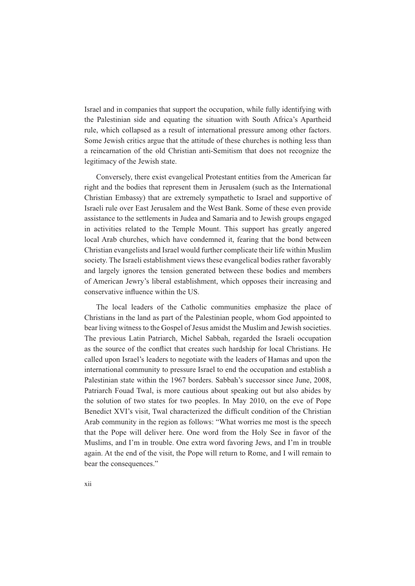Israel and in companies that support the occupation, while fully identifying with the Palestinian side and equating the situation with South Africa's Apartheid rule, which collapsed as a result of international pressure among other factors. Some Jewish critics argue that the attitude of these churches is nothing less than a reincarnation of the old Christian anti-Semitism that does not recognize the legitimacy of the Jewish state.

Conversely, there exist evangelical Protestant entities from the American far right and the bodies that represent them in Jerusalem (such as the International Christian Embassy) that are extremely sympathetic to Israel and supportive of Israeli rule over East Jerusalem and the West Bank. Some of these even provide assistance to the settlements in Judea and Samaria and to Jewish groups engaged in activities related to the Temple Mount. This support has greatly angered local Arab churches, which have condemned it, fearing that the bond between Christian evangelists and Israel would further complicate their life within Muslim society. The Israeli establishment views these evangelical bodies rather favorably and largely ignores the tension generated between these bodies and members of American Jewry's liberal establishment, which opposes their increasing and conservative influence within the US.

The local leaders of the Catholic communities emphasize the place of Christians in the land as part of the Palestinian people, whom God appointed to bear living witness to the Gospel of Jesus amidst the Muslim and Jewish societies. The previous Latin Patriarch, Michel Sabbah, regarded the Israeli occupation as the source of the conflict that creates such hardship for local Christians. He called upon Israel's leaders to negotiate with the leaders of Hamas and upon the international community to pressure Israel to end the occupation and establish a Palestinian state within the 1967 borders. Sabbah's successor since June, 2008, Patriarch Fouad Twal, is more cautious about speaking out but also abides by the solution of two states for two peoples. In May 2010, on the eve of Pope Benedict XVI's visit. Twal characterized the difficult condition of the Christian Arab community in the region as follows: "What worries me most is the speech that the Pope will deliver here. One word from the Holy See in favor of the Muslims, and I'm in trouble. One extra word favoring Jews, and I'm in trouble again. At the end of the visit, the Pope will return to Rome, and I will remain to bear the consequences."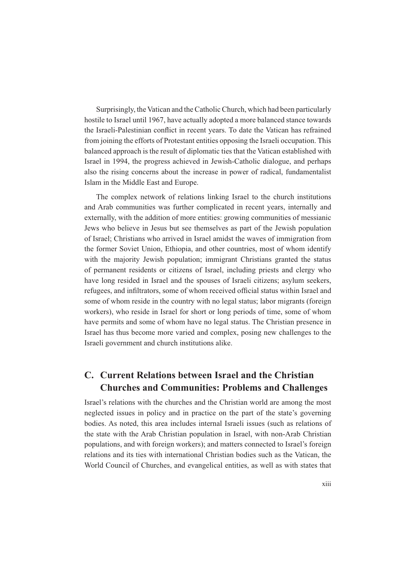Surprisingly, the Vatican and the Catholic Church, which had been particularly hostile to Israel until 1967, have actually adopted a more balanced stance towards the Israeli-Palestinian conflict in recent vears. To date the Vatican has refrained from joining the efforts of Protestant entities opposing the Israeli occupation. This balanced approach is the result of diplomatic ties that the Vatican established with Israel in 1994, the progress achieved in Jewish-Catholic dialogue, and perhaps also the rising concerns about the increase in power of radical, fundamentalist Islam in the Middle East and Europe.

The complex network of relations linking Israel to the church institutions and Arab communities was further complicated in recent years, internally and externally, with the addition of more entities: growing communities of messianic Jews who believe in Jesus but see themselves as part of the Jewish population of Israel; Christians who arrived in Israel amidst the waves of immigration from the former Soviet Union, Ethiopia, and other countries, most of whom identify with the majority Jewish population; immigrant Christians granted the status of permanent residents or citizens of Israel, including priests and clergy who have long resided in Israel and the spouses of Israeli citizens; asylum seekers, refugees, and infiltrators, some of whom received official status within Israel and some of whom reside in the country with no legal status; labor migrants (foreign workers), who reside in Israel for short or long periods of time, some of whom have permits and some of whom have no legal status. The Christian presence in Israel has thus become more varied and complex, posing new challenges to the Israeli government and church institutions alike.

#### **C. Current Relations between Israel and the Christian Churches and Communities: Problems and Challenges**

Israel's relations with the churches and the Christian world are among the most neglected issues in policy and in practice on the part of the state's governing bodies. As noted, this area includes internal Israeli issues (such as relations of the state with the Arab Christian population in Israel, with non-Arab Christian populations, and with foreign workers); and matters connected to Israel's foreign relations and its ties with international Christian bodies such as the Vatican, the World Council of Churches, and evangelical entities, as well as with states that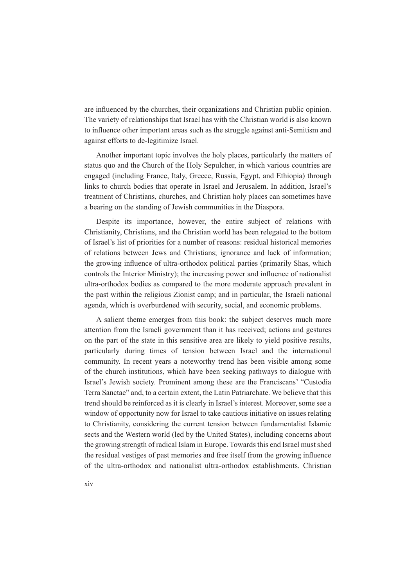are influenced by the churches, their organizations and Christian public opinion. The variety of relationships that Israel has with the Christian world is also known to influence other important areas such as the struggle against anti-Semitism and against efforts to de-legitimize Israel.

Another important topic involves the holy places, particularly the matters of status quo and the Church of the Holy Sepulcher, in which various countries are engaged (including France, Italy, Greece, Russia, Egypt, and Ethiopia) through links to church bodies that operate in Israel and Jerusalem. In addition, Israel's treatment of Christians, churches, and Christian holy places can sometimes have a bearing on the standing of Jewish communities in the Diaspora.

Despite its importance, however, the entire subject of relations with Christianity, Christians, and the Christian world has been relegated to the bottom of Israel's list of priorities for a number of reasons: residual historical memories of relations between Jews and Christians; ignorance and lack of information; the growing influence of ultra-orthodox political parties (primarily Shas, which controls the Interior Ministry); the increasing power and influence of nationalist ultra-orthodox bodies as compared to the more moderate approach prevalent in the past within the religious Zionist camp; and in particular, the Israeli national agenda, which is overburdened with security, social, and economic problems.

A salient theme emerges from this book: the subject deserves much more attention from the Israeli government than it has received; actions and gestures on the part of the state in this sensitive area are likely to yield positive results, particularly during times of tension between Israel and the international community. In recent years a noteworthy trend has been visible among some of the church institutions, which have been seeking pathways to dialogue with Israel's Jewish society. Prominent among these are the Franciscans' "Custodia Terra Sanctae" and, to a certain extent, the Latin Patriarchate. We believe that this trend should be reinforced as it is clearly in Israel's interest. Moreover, some see a window of opportunity now for Israel to take cautious initiative on issues relating to Christianity, considering the current tension between fundamentalist Islamic sects and the Western world (led by the United States), including concerns about the growing strength of radical Islam in Europe. Towards this end Israel must shed the residual vestiges of past memories and free itself from the growing influence of the ultra-orthodox and nationalist ultra-orthodox establishments. Christian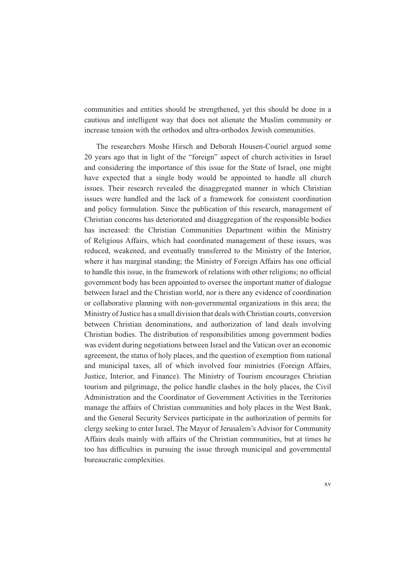communities and entities should be strengthened, yet this should be done in a cautious and intelligent way that does not alienate the Muslim community or increase tension with the orthodox and ultra-orthodox Jewish communities.

The researchers Moshe Hirsch and Deborah Housen-Couriel argued some 20 years ago that in light of the "foreign" aspect of church activities in Israel and considering the importance of this issue for the State of Israel, one might have expected that a single body would be appointed to handle all church issues. Their research revealed the disaggregated manner in which Christian issues were handled and the lack of a framework for consistent coordination and policy formulation. Since the publication of this research, management of Christian concerns has deteriorated and disaggregation of the responsible bodies has increased: the Christian Communities Department within the Ministry of Religious Affairs, which had coordinated management of these issues, was reduced, weakened, and eventually transferred to the Ministry of the Interior, where it has marginal standing; the Ministry of Foreign Affairs has one official to handle this issue, in the framework of relations with other religions; no official government body has been appointed to oversee the important matter of dialogue between Israel and the Christian world, nor is there any evidence of coordination or collaborative planning with non-governmental organizations in this area; the Ministry of Justice has a small division that deals with Christian courts, conversion between Christian denominations, and authorization of land deals involving Christian bodies. The distribution of responsibilities among government bodies was evident during negotiations between Israel and the Vatican over an economic agreement, the status of holy places, and the question of exemption from national and municipal taxes, all of which involved four ministries (Foreign Affairs, Justice, Interior, and Finance). The Ministry of Tourism encourages Christian tourism and pilgrimage, the police handle clashes in the holy places, the Civil Administration and the Coordinator of Government Activities in the Territories manage the affairs of Christian communities and holy places in the West Bank, and the General Security Services participate in the authorization of permits for clergy seeking to enter Israel. The Mayor of Jerusalem's Advisor for Community Affairs deals mainly with affairs of the Christian communities, but at times he too has difficulties in pursuing the issue through municipal and governmental bureaucratic complexities.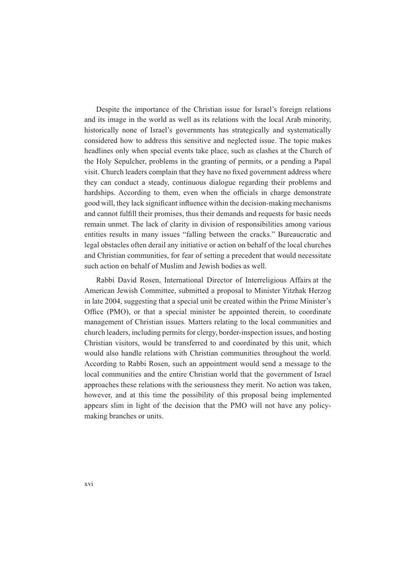Despite the importance of the Christian issue for Israel's foreign relations and its image in the world as well as its relations with the local Arab minority, historically none of Israel's governments has strategically and systematically considered how to address this sensitive and neglected issue. The topic makes headlines only when special events take place, such as clashes at the Church of the Holy Sepulcher, problems in the granting of permits, or a pending a Papal visit. Church leaders complain that they have no fixed government address where they can conduct a steady, continuous dialogue regarding their problems and hardships. According to them, even when the officials in charge demonstrate good will, they lack significant influence within the decision-making mechanisms and cannot fulfill their promises, thus their demands and requests for basic needs remain unmet. The lack of clarity in division of responsibilities among various entities results in many issues "falling between the cracks." Bureaucratic and legal obstacles often derail any initiative or action on behalf of the local churches and Christian communities, for fear of setting a precedent that would necessitate such action on behalf of Muslim and Jewish bodies as well.

Rabbi David Rosen, International Director of Interreligious Affairs at the American Jewish Committee, submitted a proposal to Minister Yitzhak Herzog in late 2004, suggesting that a special unit be created within the Prime Minister's Office (PMO), or that a special minister be appointed therein, to coordinate management of Christian issues. Matters relating to the local communities and church leaders, including permits for clergy, border-inspection issues, and hosting Christian visitors, would be transferred to and coordinated by this unit, which would also handle relations with Christian communities throughout the world. According to Rabbi Rosen, such an appointment would send a message to the local communities and the entire Christian world that the government of Israel approaches these relations with the seriousness they merit. No action was taken, however, and at this time the possibility of this proposal being implemented appears slim in light of the decision that the PMO will not have any policymaking branches or units.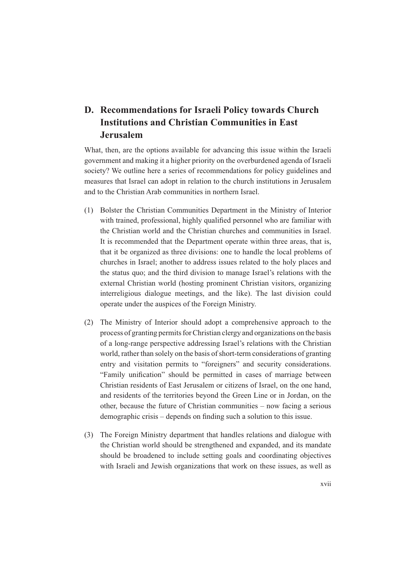## **D. Recommendations for Israeli Policy towards Church Institutions and Christian Communities in East Jerusalem**

What, then, are the options available for advancing this issue within the Israeli government and making it a higher priority on the overburdened agenda of Israeli society? We outline here a series of recommendations for policy guidelines and measures that Israel can adopt in relation to the church institutions in Jerusalem and to the Christian Arab communities in northern Israel.

- (1) Bolster the Christian Communities Department in the Ministry of Interior with trained, professional, highly qualified personnel who are familiar with the Christian world and the Christian churches and communities in Israel. It is recommended that the Department operate within three areas, that is, that it be organized as three divisions: one to handle the local problems of churches in Israel; another to address issues related to the holy places and the status quo; and the third division to manage Israel's relations with the external Christian world (hosting prominent Christian visitors, organizing interreligious dialogue meetings, and the like). The last division could operate under the auspices of the Foreign Ministry.
- (2) The Ministry of Interior should adopt a comprehensive approach to the process of granting permits for Christian clergy and organizations on the basis of a long-range perspective addressing Israel's relations with the Christian world, rather than solely on the basis of short-term considerations of granting entry and visitation permits to "foreigners" and security considerations. "Family unification" should be permitted in cases of marriage between Christian residents of East Jerusalem or citizens of Israel, on the one hand, and residents of the territories beyond the Green Line or in Jordan, on the other, because the future of Christian communities – now facing a serious demographic crisis  $-$  depends on finding such a solution to this issue.
- (3) The Foreign Ministry department that handles relations and dialogue with the Christian world should be strengthened and expanded, and its mandate should be broadened to include setting goals and coordinating objectives with Israeli and Jewish organizations that work on these issues, as well as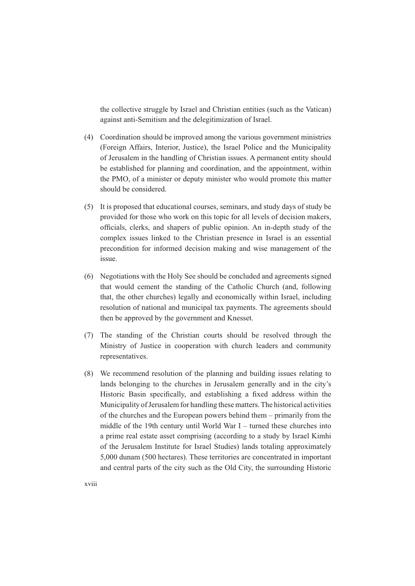the collective struggle by Israel and Christian entities (such as the Vatican) against anti-Semitism and the delegitimization of Israel.

- (4) Coordination should be improved among the various government ministries (Foreign Affairs, Interior, Justice), the Israel Police and the Municipality of Jerusalem in the handling of Christian issues. A permanent entity should be established for planning and coordination, and the appointment, within the PMO, of a minister or deputy minister who would promote this matter should be considered.
- (5) It is proposed that educational courses, seminars, and study days of study be provided for those who work on this topic for all levels of decision makers, officials, clerks, and shapers of public opinion. An in-depth study of the complex issues linked to the Christian presence in Israel is an essential precondition for informed decision making and wise management of the issue.
- (6) Negotiations with the Holy See should be concluded and agreements signed that would cement the standing of the Catholic Church (and, following that, the other churches) legally and economically within Israel, including resolution of national and municipal tax payments. The agreements should then be approved by the government and Knesset.
- (7) The standing of the Christian courts should be resolved through the Ministry of Justice in cooperation with church leaders and community representatives.
- (8) We recommend resolution of the planning and building issues relating to lands belonging to the churches in Jerusalem generally and in the city's Historic Basin specifically, and establishing a fixed address within the Municipality of Jerusalem for handling these matters. The historical activities of the churches and the European powers behind them – primarily from the middle of the 19th century until World War I – turned these churches into a prime real estate asset comprising (according to a study by Israel Kimhi of the Jerusalem Institute for Israel Studies) lands totaling approximately 5,000 dunam (500 hectares). These territories are concentrated in important and central parts of the city such as the Old City, the surrounding Historic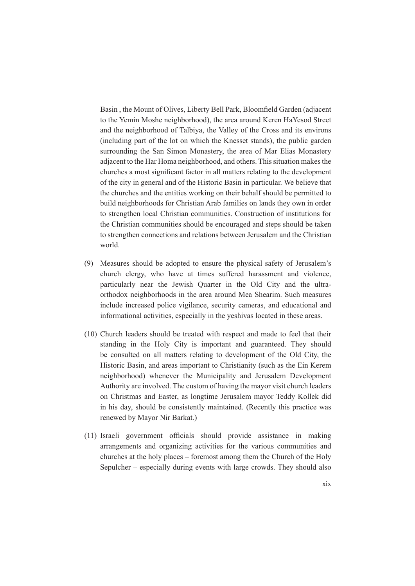Basin, the Mount of Olives, Liberty Bell Park, Bloomfield Garden (adjacent to the Yemin Moshe neighborhood), the area around Keren HaYesod Street and the neighborhood of Talbiya, the Valley of the Cross and its environs (including part of the lot on which the Knesset stands), the public garden surrounding the San Simon Monastery, the area of Mar Elias Monastery adjacent to the Har Homa neighborhood, and others. This situation makes the churches a most significant factor in all matters relating to the development of the city in general and of the Historic Basin in particular. We believe that the churches and the entities working on their behalf should be permitted to build neighborhoods for Christian Arab families on lands they own in order to strengthen local Christian communities. Construction of institutions for the Christian communities should be encouraged and steps should be taken to strengthen connections and relations between Jerusalem and the Christian world.

- (9) Measures should be adopted to ensure the physical safety of Jerusalem's church clergy, who have at times suffered harassment and violence, particularly near the Jewish Quarter in the Old City and the ultraorthodox neighborhoods in the area around Mea Shearim. Such measures include increased police vigilance, security cameras, and educational and informational activities, especially in the yeshivas located in these areas.
- (10) Church leaders should be treated with respect and made to feel that their standing in the Holy City is important and guaranteed. They should be consulted on all matters relating to development of the Old City, the Historic Basin, and areas important to Christianity (such as the Ein Kerem neighborhood) whenever the Municipality and Jerusalem Development Authority are involved. The custom of having the mayor visit church leaders on Christmas and Easter, as longtime Jerusalem mayor Teddy Kollek did in his day, should be consistently maintained. (Recently this practice was renewed by Mayor Nir Barkat.)
- (11) Israeli government officials should provide assistance in making arrangements and organizing activities for the various communities and churches at the holy places – foremost among them the Church of the Holy Sepulcher – especially during events with large crowds. They should also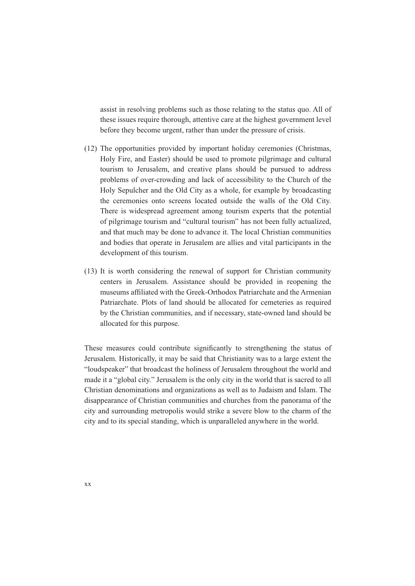assist in resolving problems such as those relating to the status quo. All of these issues require thorough, attentive care at the highest government level before they become urgent, rather than under the pressure of crisis.

- (12) The opportunities provided by important holiday ceremonies (Christmas, Holy Fire, and Easter) should be used to promote pilgrimage and cultural tourism to Jerusalem, and creative plans should be pursued to address problems of over-crowding and lack of accessibility to the Church of the Holy Sepulcher and the Old City as a whole, for example by broadcasting the ceremonies onto screens located outside the walls of the Old City. There is widespread agreement among tourism experts that the potential of pilgrimage tourism and "cultural tourism" has not been fully actualized. and that much may be done to advance it. The local Christian communities and bodies that operate in Jerusalem are allies and vital participants in the development of this tourism.
- (13) It is worth considering the renewal of support for Christian community centers in Jerusalem. Assistance should be provided in reopening the museums affiliated with the Greek-Orthodox Patriarchate and the Armenian Patriarchate. Plots of land should be allocated for cemeteries as required by the Christian communities, and if necessary, state-owned land should be allocated for this purpose.

These measures could contribute significantly to strengthening the status of Jerusalem. Historically, it may be said that Christianity was to a large extent the "loudspeaker" that broadcast the holiness of Jerusalem throughout the world and made it a "global city." Jerusalem is the only city in the world that is sacred to all Christian denominations and organizations as well as to Judaism and Islam. The disappearance of Christian communities and churches from the panorama of the city and surrounding metropolis would strike a severe blow to the charm of the city and to its special standing, which is unparalleled anywhere in the world.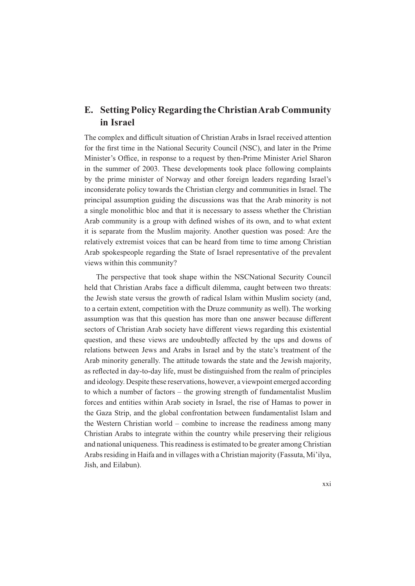#### **E. Setting Policy Regarding the Christian Arab Community in Israel**

The complex and difficult situation of Christian Arabs in Israel received attention for the first time in the National Security Council (NSC), and later in the Prime Minister's Office, in response to a request by then-Prime Minister Ariel Sharon in the summer of 2003. These developments took place following complaints by the prime minister of Norway and other foreign leaders regarding Israel's inconsiderate policy towards the Christian clergy and communities in Israel. The principal assumption guiding the discussions was that the Arab minority is not a single monolithic bloc and that it is necessary to assess whether the Christian Arab community is a group with defined wishes of its own, and to what extent it is separate from the Muslim majority. Another question was posed: Are the relatively extremist voices that can be heard from time to time among Christian Arab spokespeople regarding the State of Israel representative of the prevalent views within this community?

The perspective that took shape within the NSCNational Security Council held that Christian Arabs face a difficult dilemma, caught between two threats: the Jewish state versus the growth of radical Islam within Muslim society (and, to a certain extent, competition with the Druze community as well). The working assumption was that this question has more than one answer because different sectors of Christian Arab society have different views regarding this existential question, and these views are undoubtedly affected by the ups and downs of relations between Jews and Arabs in Israel and by the state's treatment of the Arab minority generally. The attitude towards the state and the Jewish majority, as reflected in day-to-day life, must be distinguished from the realm of principles and ideology. Despite these reservations, however, a viewpoint emerged according to which a number of factors – the growing strength of fundamentalist Muslim forces and entities within Arab society in Israel, the rise of Hamas to power in the Gaza Strip, and the global confrontation between fundamentalist Islam and the Western Christian world – combine to increase the readiness among many Christian Arabs to integrate within the country while preserving their religious and national uniqueness. This readiness is estimated to be greater among Christian Arabs residing in Haifa and in villages with a Christian majority (Fassuta, Mi'ilya, Jish, and Eilabun).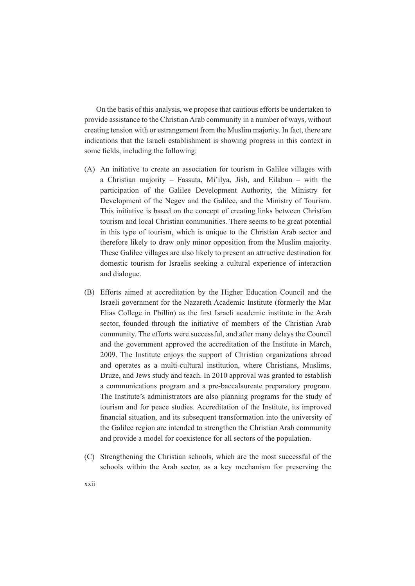On the basis of this analysis, we propose that cautious efforts be undertaken to provide assistance to the Christian Arab community in a number of ways, without creating tension with or estrangement from the Muslim majority. In fact, there are indications that the Israeli establishment is showing progress in this context in some fields, including the following:

- (A) An initiative to create an association for tourism in Galilee villages with a Christian majority – Fassuta, Mi'ilya, Jish, and Eilabun – with the participation of the Galilee Development Authority, the Ministry for Development of the Negev and the Galilee, and the Ministry of Tourism. This initiative is based on the concept of creating links between Christian tourism and local Christian communities. There seems to be great potential in this type of tourism, which is unique to the Christian Arab sector and therefore likely to draw only minor opposition from the Muslim majority. These Galilee villages are also likely to present an attractive destination for domestic tourism for Israelis seeking a cultural experience of interaction and dialogue.
- (B) Efforts aimed at accreditation by the Higher Education Council and the Israeli government for the Nazareth Academic Institute (formerly the Mar Elias College in I'billin) as the first Israeli academic institute in the Arab sector, founded through the initiative of members of the Christian Arab community. The efforts were successful, and after many delays the Council and the government approved the accreditation of the Institute in March, 2009. The Institute enjoys the support of Christian organizations abroad and operates as a multi-cultural institution, where Christians, Muslims, Druze, and Jews study and teach. In 2010 approval was granted to establish a communications program and a pre-baccalaureate preparatory program. The Institute's administrators are also planning programs for the study of tourism and for peace studies. Accreditation of the Institute, its improved financial situation, and its subsequent transformation into the university of the Galilee region are intended to strengthen the Christian Arab community and provide a model for coexistence for all sectors of the population.
- (C) Strengthening the Christian schools, which are the most successful of the schools within the Arab sector, as a key mechanism for preserving the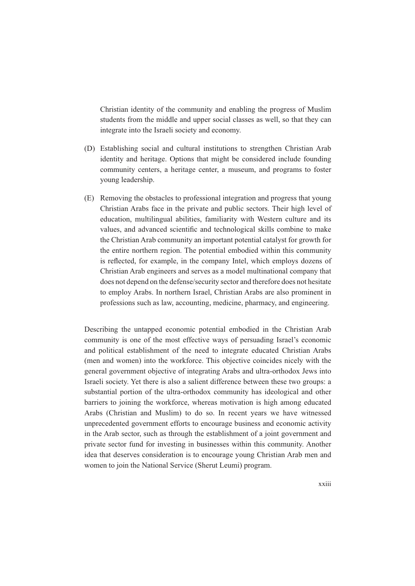Christian identity of the community and enabling the progress of Muslim students from the middle and upper social classes as well, so that they can integrate into the Israeli society and economy.

- (D) Establishing social and cultural institutions to strengthen Christian Arab identity and heritage. Options that might be considered include founding community centers, a heritage center, a museum, and programs to foster young leadership.
- (E) Removing the obstacles to professional integration and progress that young Christian Arabs face in the private and public sectors. Their high level of education, multilingual abilities, familiarity with Western culture and its values, and advanced scientific and technological skills combine to make the Christian Arab community an important potential catalyst for growth for the entire northern region. The potential embodied within this community is reflected, for example, in the company Intel, which employs dozens of Christian Arab engineers and serves as a model multinational company that does not depend on the defense/security sector and therefore does not hesitate to employ Arabs. In northern Israel, Christian Arabs are also prominent in professions such as law, accounting, medicine, pharmacy, and engineering.

Describing the untapped economic potential embodied in the Christian Arab community is one of the most effective ways of persuading Israel's economic and political establishment of the need to integrate educated Christian Arabs (men and women) into the workforce. This objective coincides nicely with the general government objective of integrating Arabs and ultra-orthodox Jews into Israeli society. Yet there is also a salient difference between these two groups: a substantial portion of the ultra-orthodox community has ideological and other barriers to joining the workforce, whereas motivation is high among educated Arabs (Christian and Muslim) to do so. In recent years we have witnessed unprecedented government efforts to encourage business and economic activity in the Arab sector, such as through the establishment of a joint government and private sector fund for investing in businesses within this community. Another idea that deserves consideration is to encourage young Christian Arab men and women to join the National Service (Sherut Leumi) program.